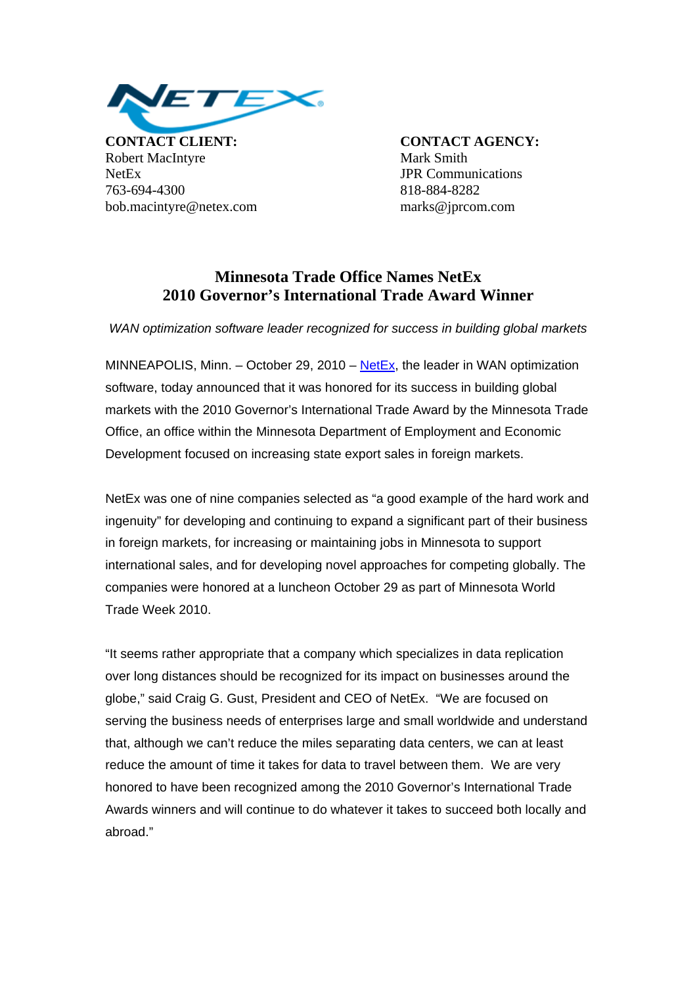

**CONTACT CLIENT: CONTACT AGENCY:** Robert MacIntyre Mark Smith NetEx JPR Communications 763-694-4300 818-884-8282 bob.macintyre@netex.com marks@jprcom.com

## **Minnesota Trade Office Names NetEx 2010 Governor's International Trade Award Winner**

*WAN optimization software leader recognized for success in building global markets* 

MINNEAPOLIS, Minn. – October 29, 2010 – [NetEx,](http://www.netex.com/) the leader in WAN optimization software, today announced that it was honored for its success in building global markets with the 2010 Governor's International Trade Award by the Minnesota Trade Office, an office within the Minnesota Department of Employment and Economic Development focused on increasing state export sales in foreign markets.

NetEx was one of nine companies selected as "a good example of the hard work and ingenuity" for developing and continuing to expand a significant part of their business in foreign markets, for increasing or maintaining jobs in Minnesota to support international sales, and for developing novel approaches for competing globally. The companies were honored at a luncheon October 29 as part of Minnesota World Trade Week 2010.

"It seems rather appropriate that a company which specializes in data replication over long distances should be recognized for its impact on businesses around the globe," said Craig G. Gust, President and CEO of NetEx. "We are focused on serving the business needs of enterprises large and small worldwide and understand that, although we can't reduce the miles separating data centers, we can at least reduce the amount of time it takes for data to travel between them. We are very honored to have been recognized among the 2010 Governor's International Trade Awards winners and will continue to do whatever it takes to succeed both locally and abroad."